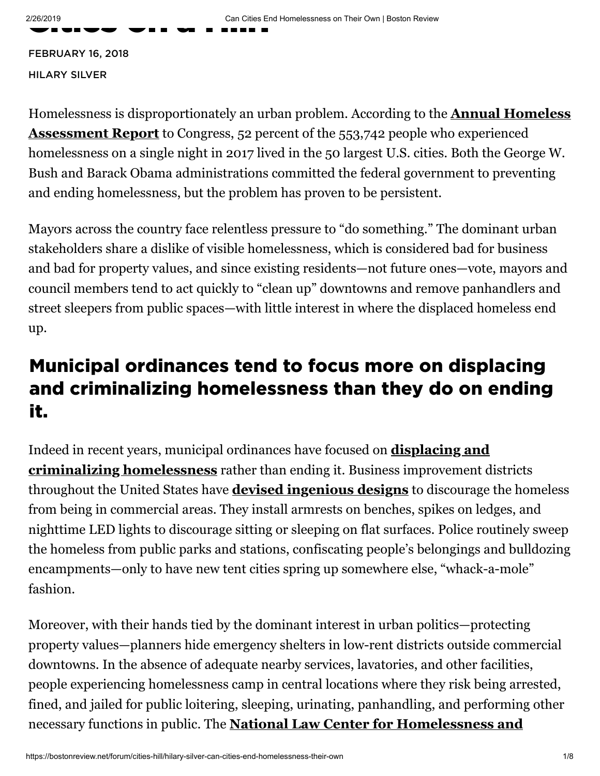FEBRUARY 16, 2018 HI[LARY](https://bostonreview.net/author/hilary-silver) SILVER

[Homelessness is disproportionately an urban problem. According to the](https://www.hudexchange.info/resources/documents/2017-AHAR-Part-1.pdf) **Annual Homeless Assessment Report** to Congress, 52 percent of the 553,742 people who experienced homelessness on a single night in 2017 lived in the 50 largest U.S. cities. Both the George W. Bush and Barack Obama administrations committed the federal government to preventing and ending homelessness, but the problem has proven to be persistent.

Mayors across the country face relentless pressure to "do something." The dominant urban stakeholders share a dislike of visible homelessness, which is considered bad for business and bad for property values, and since existing residents—not future ones—vote, mayors and council members tend to act quickly to "clean up" downtowns and remove panhandlers and street sleepers from public spaces—with little interest in where the displaced homeless end up.

## Municipal ordinances tend to focus more on displacing and criminalizing homelessness than they do on ending it.

[Indeed in recent years, municipal ordinances have focused on](https://law.yale.edu/system/files/area/center/schell/criminalization_of_homelessness_report_for_web_executive_summary.pdf) **displacing and criminalizing homelessness** rather than ending it. Business improvement districts throughout the United States have **[devised ingenious designs](https://www.theatlantic.com/business/archive/2014/06/how-cities-use-design-to-drive-homeless-people-away/373067/)** to discourage the homeless from being in commercial areas. They install armrests on benches, spikes on ledges, and nighttime LED lights to discourage sitting or sleeping on flat surfaces. Police routinely sweep the homeless from public parks and stations, confiscating people's belongings and bulldozing encampments—only to have new tent cities spring up somewhere else, "whack-a-mole" fashion.

Moreover, with their hands tied by the dominant interest in urban politics—protecting property values—planners hide emergency shelters in low-rent districts outside commercial downtowns. In the absence of adequate nearby services, lavatories, and other facilities, people experiencing homelessness camp in central locations where they risk being arrested, fined, and jailed for public loitering, sleeping, urinating, panhandling, and performing other necessary functions in public. The **[National Law Center for Homelessness and](https://www.nlchp.org/documents/No_Safe_Place)**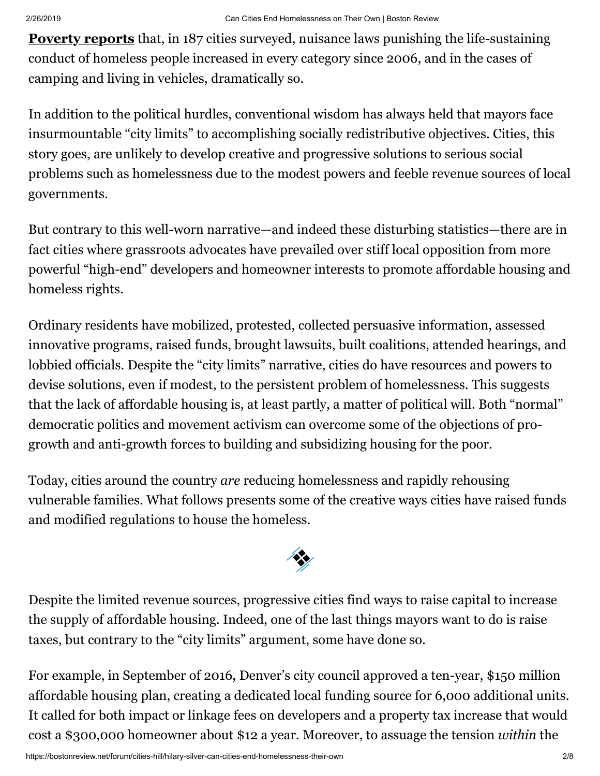**Poverty reports** [that, in 187 cities surveyed, nuisance laws punishing the life-sustai](https://www.nlchp.org/documents/No_Safe_Place)ning conduct of homeless people increased in every category since 2006, and in the cases of camping and living in vehicles, dramatically so.

In addition to the political hurdles, conventional wisdom has always held that mayors face insurmountable "city limits" to accomplishing socially redistributive objectives. Cities, this story goes, are unlikely to develop creative and progressive solutions to serious social problems such as homelessness due to the modest powers and feeble revenue sources of local governments.

But contrary to this well-worn narrative—and indeed these disturbing statistics—there are in fact cities where grassroots advocates have prevailed over stiff local opposition from more powerful "high-end" developers and homeowner interests to promote affordable housing and homeless rights.

Ordinary residents have mobilized, protested, collected persuasive information, assessed innovative programs, raised funds, brought lawsuits, built coalitions, attended hearings, and lobbied officials. Despite the "city limits" narrative, cities do have resources and powers to devise solutions, even if modest, to the persistent problem of homelessness. This suggests that the lack of affordable housing is, at least partly, a matter of political will. Both "normal" democratic politics and movement activism can overcome some of the objections of progrowth and anti-growth forces to building and subsidizing housing for the poor.

Today, cities around the country *are* reducing homelessness and rapidly rehousing vulnerable families. What follows presents some of the creative ways cities have raised funds and modified regulations to house the homeless.



Despite the limited revenue sources, progressive cities find ways to raise capital to increase the supply of affordable housing. Indeed, one of the last things mayors want to do is raise taxes, but contrary to the "city limits" argument, some have done so.

For example, in September of 2016, Denver's city council approved a ten-year, \$150 million affordable housing plan, creating a dedicated local funding source for 6,000 additional units. It called for both impact or linkage fees on developers and a property tax increase that would cost a \$300,000 homeowner about \$12 a year. Moreover, to assuage the tension *within* the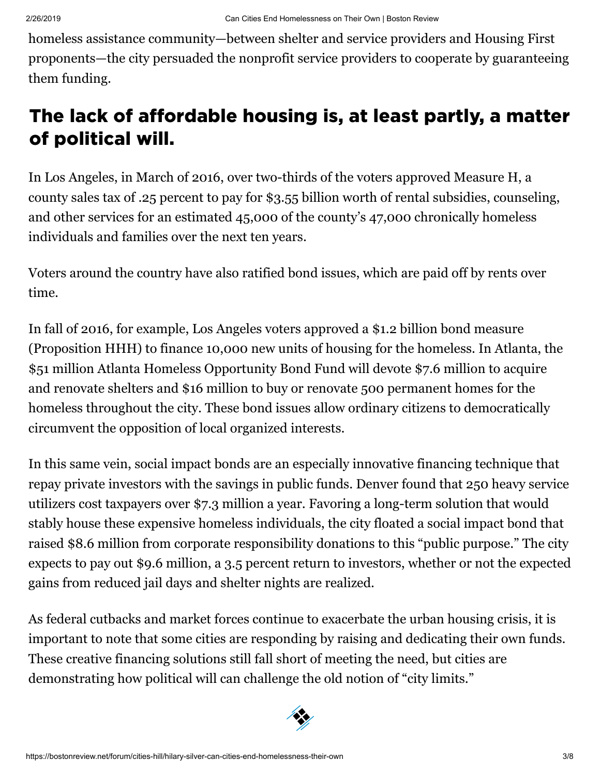homeless assistance community—between shelter and service providers and Housing First proponents—the city persuaded the nonprofit service providers to cooperate by guaranteeing them funding.

# The lack of affordable housing is, at least partly, a matter of political will.

In Los Angeles, in March of 2016, over two-thirds of the voters approved Measure H, a county sales tax of .25 percent to pay for \$3.55 billion worth of rental subsidies, counseling, and other services for an estimated 45,000 of the county's 47,000 chronically homeless individuals and families over the next ten years.

Voters around the country have also ratified bond issues, which are paid off by rents over time.

In fall of 2016, for example, Los Angeles voters approved a \$1.2 billion bond measure (Proposition HHH) to finance 10,000 new units of housing for the homeless. In Atlanta, the \$51 million Atlanta Homeless Opportunity Bond Fund will devote \$7.6 million to acquire and renovate shelters and \$16 million to buy or renovate 500 permanent homes for the homeless throughout the city. These bond issues allow ordinary citizens to democratically circumvent the opposition of local organized interests.

In this same vein, social impact bonds are an especially innovative financing technique that repay private investors with the savings in public funds. Denver found that 250 heavy service utilizers cost taxpayers over \$7.3 million a year. Favoring a long-term solution that would stably house these expensive homeless individuals, the city floated a social impact bond that raised \$8.6 million from corporate responsibility donations to this "public purpose." The city expects to pay out \$9.6 million, a 3.5 percent return to investors, whether or not the expected gains from reduced jail days and shelter nights are realized.

As federal cutbacks and market forces continue to exacerbate the urban housing crisis, it is important to note that some cities are responding by raising and dedicating their own funds. These creative financing solutions still fall short of meeting the need, but cities are demonstrating how political will can challenge the old notion of "city limits."

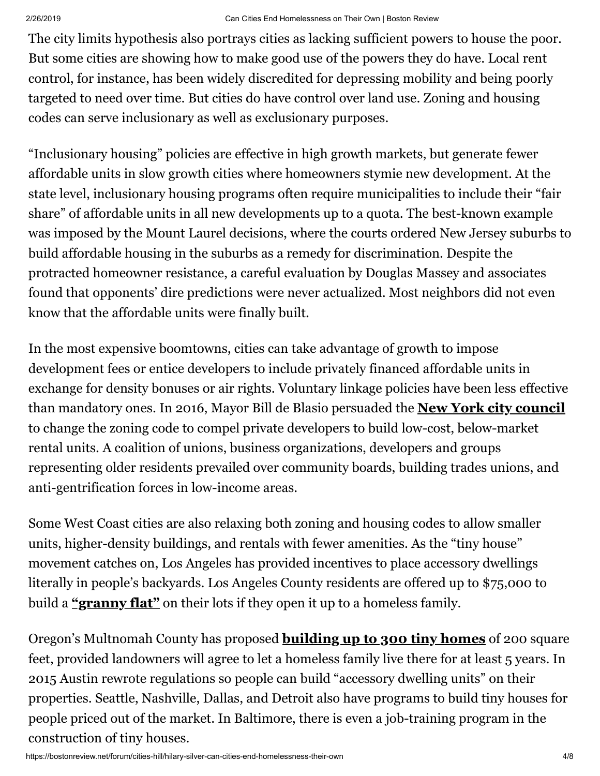The city limits hypothesis also portrays cities as lacking sufficient powers to house the poor. But some cities are showing how to make good use of the powers they do have. Local rent control, for instance, has been widely discredited for depressing mobility and being poorly targeted to need over time. But cities do have control over land use. Zoning and housing codes can serve inclusionary as well as exclusionary purposes.

"Inclusionary housing" policies are effective in high growth markets, but generate fewer affordable units in slow growth cities where homeowners stymie new development. At the state level, inclusionary housing programs often require municipalities to include their "fair share" of affordable units in all new developments up to a quota. The best-known example was imposed by the Mount Laurel decisions, where the courts ordered New Jersey suburbs to build affordable housing in the suburbs as a remedy for discrimination. Despite the protracted homeowner resistance, a careful evaluation by Douglas Massey and associates found that opponents' dire predictions were never actualized. Most neighbors did not even know that the affordable units were finally built.

In the most expensive boomtowns, cities can take advantage of growth to impose development fees or entice developers to include privately financed affordable units in exchange for density bonuses or air rights. Voluntary linkage policies have been less effective than mandatory ones. In 2016, Mayor Bill de Blasio persuaded the **[New York city council](http://topics.nytimes.com/top/reference/timestopics/organizations/c/city_council_new_york_city/index.html?inline=nyt-org)** to change the zoning code to compel private developers to build low-cost, below-market rental units. A coalition of unions, business organizations, developers and groups representing older residents prevailed over community boards, building trades unions, and anti-gentrification forces in low-income areas.

Some West Coast cities are also relaxing both zoning and housing codes to allow smaller units, higher-density buildings, and rentals with fewer amenities. As the "tiny house" movement catches on, Los Angeles has provided incentives to place accessory dwellings literally in people's backyards. Los Angeles County residents are offered up to \$75,000 to build a **["granny flat"](https://www.citylab.com/solutions/2017/08/los-angeles-granny-flat-motion-homelessness-yimby/537117/)** on their lots if they open it up to a homeless family.

Oregon's Multnomah County has proposed **[building up to 300 tiny homes](http://www.oregonlive.com/portland/index.ssf/2017/03/multnomah_county_wants_to_ince.html)** of 200 square feet, provided landowners will agree to let a homeless family live there for at least 5 years. In 2015 Austin rewrote regulations so people can build "accessory dwelling units" on their properties. Seattle, Nashville, Dallas, and Detroit also have programs to build tiny houses for people priced out of the market. In Baltimore, there is even a job-training program in the construction of tiny houses.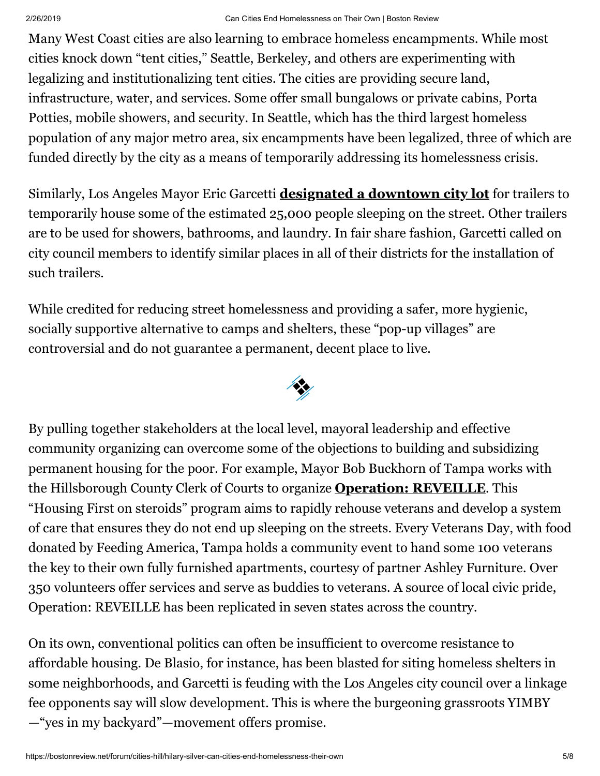Many West Coast cities are also learning to embrace homeless encampments. While most cities knock down "tent cities," Seattle, Berkeley, and others are experimenting with legalizing and institutionalizing tent cities. The cities are providing secure land, infrastructure, water, and services. Some offer small bungalows or private cabins, Porta Potties, mobile showers, and security. In Seattle, which has the third largest homeless population of any major metro area, six encampments have been legalized, three of which are funded directly by the city as a means of temporarily addressing its homelessness crisis.

Similarly, Los Angeles Mayor Eric Garcetti **[designated a downtown city lot](http://www.latimes.com/local/lanow/la-me-ln-housing-trailers-20180116-story.html)** for trailers to temporarily house some of the estimated 25,000 people sleeping on the street. Other trailers are to be used for showers, bathrooms, and laundry. In fair share fashion, Garcetti called on city council members to identify similar places in all of their districts for the installation of such trailers.

While credited for reducing street homelessness and providing a safer, more hygienic, socially supportive alternative to camps and shelters, these "pop-up villages" are controversial and do not guarantee a permanent, decent place to live.



By pulling together stakeholders at the local level, mayoral leadership and effective community organizing can overcome some of the objections to building and subsidizing permanent housing for the poor. For example, Mayor Bob Buckhorn of Tampa works with the Hillsborough County Clerk of Courts to organize **[Operation: REVEILLE](http://www.tbo.com/northeast-tampa/operation-reveille-calls-attention-to-homeless-vets-20141119/)**. This "Housing First on steroids" program aims to rapidly rehouse veterans and develop a system of care that ensures they do not end up sleeping on the streets. Every Veterans Day, with food donated by Feeding America, Tampa holds a community event to hand some 100 veterans the key to their own fully furnished apartments, courtesy of partner Ashley Furniture. Over 350 volunteers offer services and serve as buddies to veterans. A source of local civic pride, Operation: REVEILLE has been replicated in seven states across the country.

On its own, conventional politics can often be insufficient to overcome resistance to affordable housing. De Blasio, for instance, has been blasted for siting homeless shelters in some neighborhoods, and Garcetti is feuding with the Los Angeles city council over a linkage fee opponents say will slow development. This is where the burgeoning grassroots YIMBY —"yes in my backyard"—movement offers promise.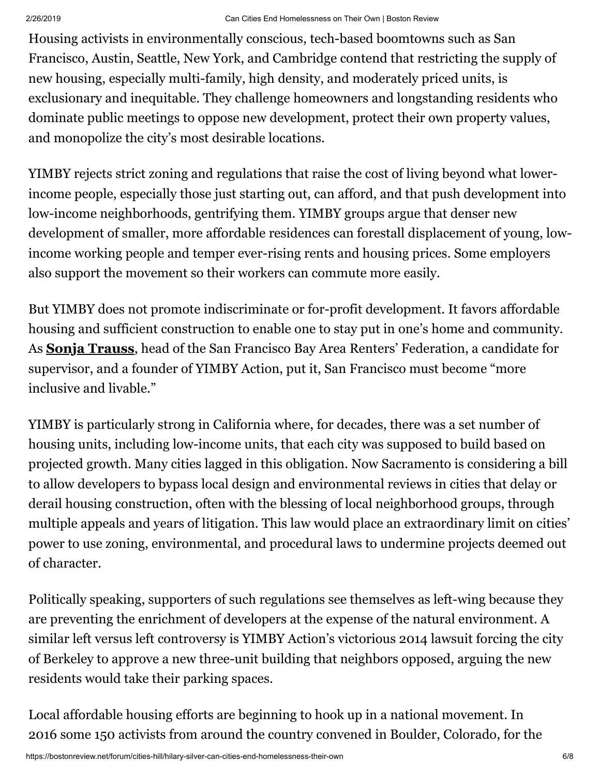Housing activists in environmentally conscious, tech-based boomtowns such as San Francisco, Austin, Seattle, New York, and Cambridge contend that restricting the supply of new housing, especially multi-family, high density, and moderately priced units, is exclusionary and inequitable. They challenge homeowners and longstanding residents who dominate public meetings to oppose new development, protect their own property values, and monopolize the city's most desirable locations.

YIMBY rejects strict zoning and regulations that raise the cost of living beyond what lowerincome people, especially those just starting out, can afford, and that push development into low-income neighborhoods, gentrifying them. YIMBY groups argue that denser new development of smaller, more affordable residences can forestall displacement of young, lowincome working people and temper ever-rising rents and housing prices. Some employers also support the movement so their workers can commute more easily.

But YIMBY does not promote indiscriminate or for-profit development. It favors affordable housing and sufficient construction to enable one to stay put in one's home and community. As **[Sonja Trauss](http://www.tbo.com/northeast-tampa/operation-reveille-calls-attention-to-homeless-vets-20141119/)**, head of the San Francisco Bay Area Renters' Federation, a candidate for supervisor, and a founder of YIMBY Action, put it, San Francisco must become "more inclusive and livable."

YIMBY is particularly strong in California where, for decades, there was a set number of housing units, including low-income units, that each city was supposed to build based on projected growth. Many cities lagged in this obligation. Now Sacramento is considering a bill to allow developers to bypass local design and environmental reviews in cities that delay or derail housing construction, often with the blessing of local neighborhood groups, through multiple appeals and years of litigation. This law would place an extraordinary limit on cities' power to use zoning, environmental, and procedural laws to undermine projects deemed out of character.

Politically speaking, supporters of such regulations see themselves as left-wing because they are preventing the enrichment of developers at the expense of the natural environment. A similar left versus left controversy is YIMBY Action's victorious 2014 lawsuit forcing the city of Berkeley to approve a new three-unit building that neighbors opposed, arguing the new residents would take their parking spaces.

Local affordable housing efforts are beginning to hook up in a national movement. In 2016 some 150 activists from around the country convened in Boulder, Colorado, for the